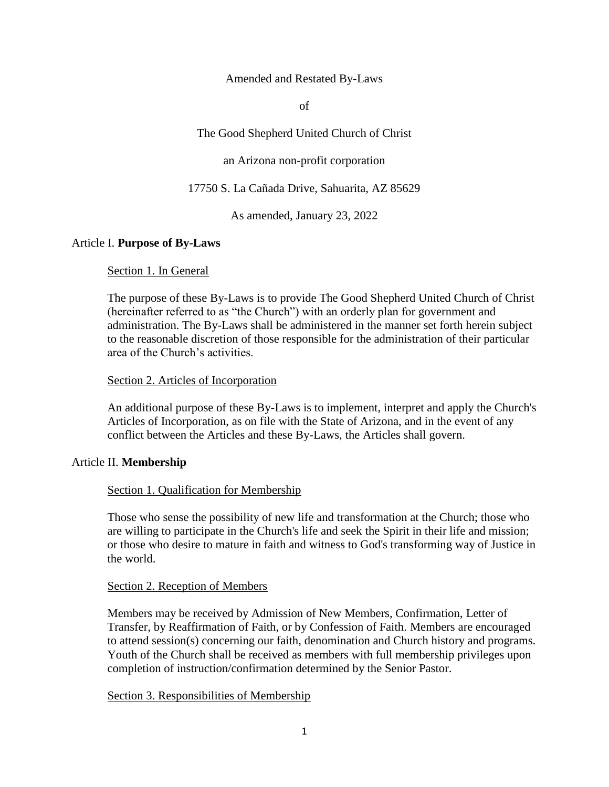Amended and Restated By-Laws

of

The Good Shepherd United Church of Christ

an Arizona non-profit corporation

17750 S. La Cañada Drive, Sahuarita, AZ 85629

As amended, January 23, 2022

# Article I. **Purpose of By-Laws**

# Section 1. In General

The purpose of these By-Laws is to provide The Good Shepherd United Church of Christ (hereinafter referred to as "the Church") with an orderly plan for government and administration. The By-Laws shall be administered in the manner set forth herein subject to the reasonable discretion of those responsible for the administration of their particular area of the Church's activities.

# Section 2. Articles of Incorporation

An additional purpose of these By-Laws is to implement, interpret and apply the Church's Articles of Incorporation, as on file with the State of Arizona, and in the event of any conflict between the Articles and these By-Laws, the Articles shall govern.

# Article II. **Membership**

# Section 1. Qualification for Membership

Those who sense the possibility of new life and transformation at the Church; those who are willing to participate in the Church's life and seek the Spirit in their life and mission; or those who desire to mature in faith and witness to God's transforming way of Justice in the world.

# Section 2. Reception of Members

Members may be received by Admission of New Members, Confirmation, Letter of Transfer, by Reaffirmation of Faith, or by Confession of Faith. Members are encouraged to attend session(s) concerning our faith, denomination and Church history and programs. Youth of the Church shall be received as members with full membership privileges upon completion of instruction/confirmation determined by the Senior Pastor.

# Section 3. Responsibilities of Membership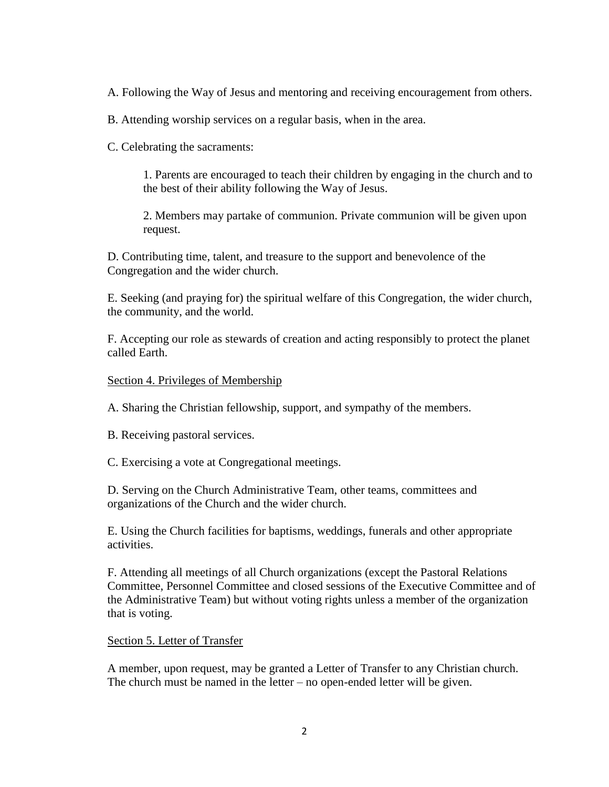A. Following the Way of Jesus and mentoring and receiving encouragement from others.

B. Attending worship services on a regular basis, when in the area.

C. Celebrating the sacraments:

1. Parents are encouraged to teach their children by engaging in the church and to the best of their ability following the Way of Jesus.

2. Members may partake of communion. Private communion will be given upon request.

D. Contributing time, talent, and treasure to the support and benevolence of the Congregation and the wider church.

E. Seeking (and praying for) the spiritual welfare of this Congregation, the wider church, the community, and the world.

F. Accepting our role as stewards of creation and acting responsibly to protect the planet called Earth.

## Section 4. Privileges of Membership

A. Sharing the Christian fellowship, support, and sympathy of the members.

B. Receiving pastoral services.

C. Exercising a vote at Congregational meetings.

D. Serving on the Church Administrative Team, other teams, committees and organizations of the Church and the wider church.

E. Using the Church facilities for baptisms, weddings, funerals and other appropriate activities.

F. Attending all meetings of all Church organizations (except the Pastoral Relations Committee, Personnel Committee and closed sessions of the Executive Committee and of the Administrative Team) but without voting rights unless a member of the organization that is voting.

Section 5. Letter of Transfer

A member, upon request, may be granted a Letter of Transfer to any Christian church. The church must be named in the letter – no open-ended letter will be given.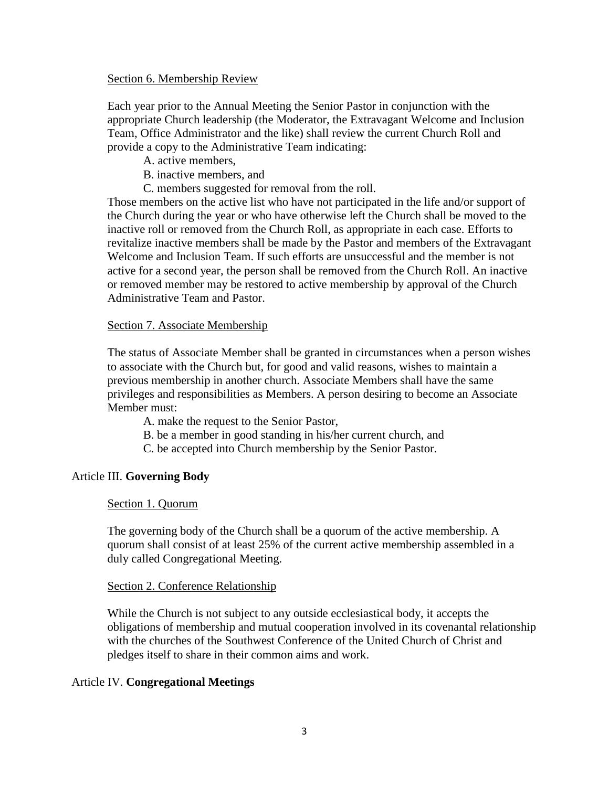## Section 6. Membership Review

Each year prior to the Annual Meeting the Senior Pastor in conjunction with the appropriate Church leadership (the Moderator, the Extravagant Welcome and Inclusion Team, Office Administrator and the like) shall review the current Church Roll and provide a copy to the Administrative Team indicating:

- A. active members,
- B. inactive members, and
- C. members suggested for removal from the roll.

Those members on the active list who have not participated in the life and/or support of the Church during the year or who have otherwise left the Church shall be moved to the inactive roll or removed from the Church Roll, as appropriate in each case. Efforts to revitalize inactive members shall be made by the Pastor and members of the Extravagant Welcome and Inclusion Team. If such efforts are unsuccessful and the member is not active for a second year, the person shall be removed from the Church Roll. An inactive or removed member may be restored to active membership by approval of the Church Administrative Team and Pastor.

## Section 7. Associate Membership

The status of Associate Member shall be granted in circumstances when a person wishes to associate with the Church but, for good and valid reasons, wishes to maintain a previous membership in another church. Associate Members shall have the same privileges and responsibilities as Members. A person desiring to become an Associate Member must:

A. make the request to the Senior Pastor,

- B. be a member in good standing in his/her current church, and
- C. be accepted into Church membership by the Senior Pastor.

# Article III. **Governing Body**

# Section 1. Quorum

The governing body of the Church shall be a quorum of the active membership. A quorum shall consist of at least 25% of the current active membership assembled in a duly called Congregational Meeting.

# Section 2. Conference Relationship

While the Church is not subject to any outside ecclesiastical body, it accepts the obligations of membership and mutual cooperation involved in its covenantal relationship with the churches of the Southwest Conference of the United Church of Christ and pledges itself to share in their common aims and work.

# Article IV. **Congregational Meetings**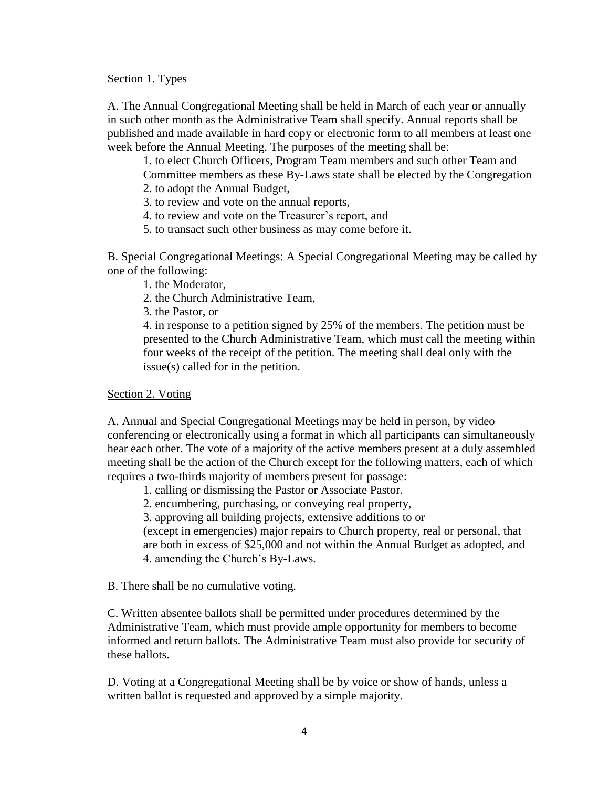Section 1. Types

A. The Annual Congregational Meeting shall be held in March of each year or annually in such other month as the Administrative Team shall specify. Annual reports shall be published and made available in hard copy or electronic form to all members at least one week before the Annual Meeting. The purposes of the meeting shall be:

1. to elect Church Officers, Program Team members and such other Team and Committee members as these By-Laws state shall be elected by the Congregation

- 2. to adopt the Annual Budget,
- 3. to review and vote on the annual reports,
- 4. to review and vote on the Treasurer's report, and
- 5. to transact such other business as may come before it.

B. Special Congregational Meetings: A Special Congregational Meeting may be called by one of the following:

- 1. the Moderator,
- 2. the Church Administrative Team,
- 3. the Pastor, or

4. in response to a petition signed by 25% of the members. The petition must be presented to the Church Administrative Team, which must call the meeting within four weeks of the receipt of the petition. The meeting shall deal only with the issue(s) called for in the petition.

## Section 2. Voting

A. Annual and Special Congregational Meetings may be held in person, by video conferencing or electronically using a format in which all participants can simultaneously hear each other. The vote of a majority of the active members present at a duly assembled meeting shall be the action of the Church except for the following matters, each of which requires a two-thirds majority of members present for passage:

1. calling or dismissing the Pastor or Associate Pastor.

2. encumbering, purchasing, or conveying real property,

3. approving all building projects, extensive additions to or

(except in emergencies) major repairs to Church property, real or personal, that are both in excess of \$25,000 and not within the Annual Budget as adopted, and 4. amending the Church's By-Laws.

B. There shall be no cumulative voting.

C. Written absentee ballots shall be permitted under procedures determined by the Administrative Team, which must provide ample opportunity for members to become informed and return ballots. The Administrative Team must also provide for security of these ballots.

D. Voting at a Congregational Meeting shall be by voice or show of hands, unless a written ballot is requested and approved by a simple majority.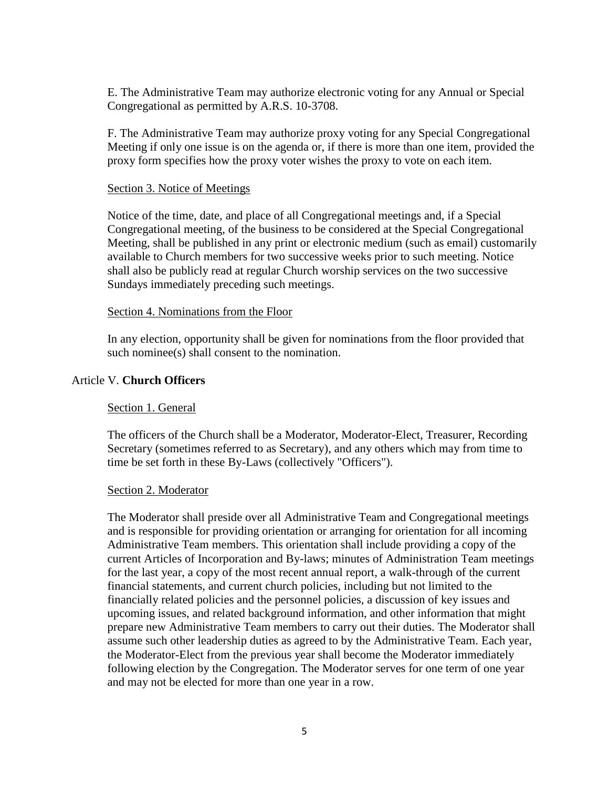E. The Administrative Team may authorize electronic voting for any Annual or Special Congregational as permitted by A.R.S. 10-3708.

F. The Administrative Team may authorize proxy voting for any Special Congregational Meeting if only one issue is on the agenda or, if there is more than one item, provided the proxy form specifies how the proxy voter wishes the proxy to vote on each item.

## Section 3. Notice of Meetings

Notice of the time, date, and place of all Congregational meetings and, if a Special Congregational meeting, of the business to be considered at the Special Congregational Meeting, shall be published in any print or electronic medium (such as email) customarily available to Church members for two successive weeks prior to such meeting. Notice shall also be publicly read at regular Church worship services on the two successive Sundays immediately preceding such meetings.

## Section 4. Nominations from the Floor

In any election, opportunity shall be given for nominations from the floor provided that such nominee(s) shall consent to the nomination.

# Article V. **Church Officers**

# Section 1. General

The officers of the Church shall be a Moderator, Moderator-Elect, Treasurer, Recording Secretary (sometimes referred to as Secretary), and any others which may from time to time be set forth in these By-Laws (collectively "Officers").

## Section 2. Moderator

The Moderator shall preside over all Administrative Team and Congregational meetings and is responsible for providing orientation or arranging for orientation for all incoming Administrative Team members. This orientation shall include providing a copy of the current Articles of Incorporation and By-laws; minutes of Administration Team meetings for the last year, a copy of the most recent annual report, a walk-through of the current financial statements, and current church policies, including but not limited to the financially related policies and the personnel policies, a discussion of key issues and upcoming issues, and related background information, and other information that might prepare new Administrative Team members to carry out their duties. The Moderator shall assume such other leadership duties as agreed to by the Administrative Team. Each year, the Moderator-Elect from the previous year shall become the Moderator immediately following election by the Congregation. The Moderator serves for one term of one year and may not be elected for more than one year in a row.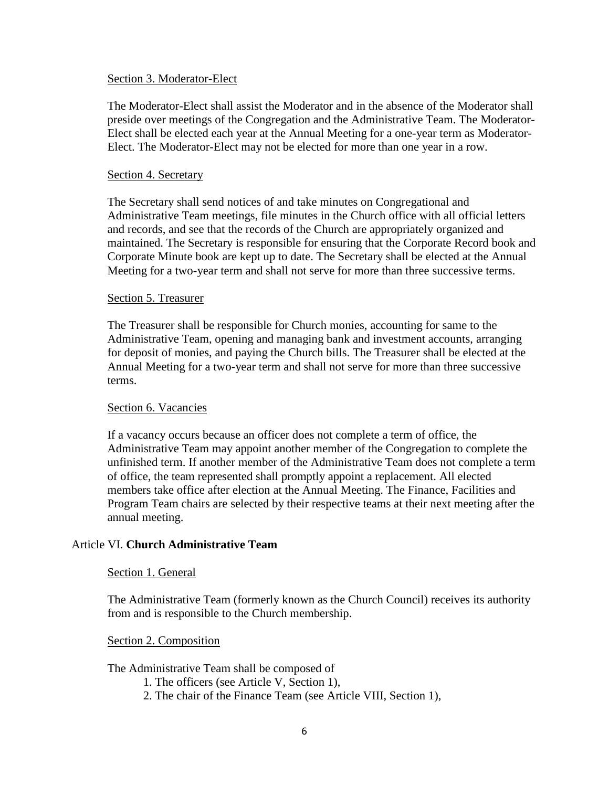## Section 3. Moderator-Elect

The Moderator-Elect shall assist the Moderator and in the absence of the Moderator shall preside over meetings of the Congregation and the Administrative Team. The Moderator-Elect shall be elected each year at the Annual Meeting for a one-year term as Moderator-Elect. The Moderator-Elect may not be elected for more than one year in a row.

## Section 4. Secretary

The Secretary shall send notices of and take minutes on Congregational and Administrative Team meetings, file minutes in the Church office with all official letters and records, and see that the records of the Church are appropriately organized and maintained. The Secretary is responsible for ensuring that the Corporate Record book and Corporate Minute book are kept up to date. The Secretary shall be elected at the Annual Meeting for a two-year term and shall not serve for more than three successive terms.

#### Section 5. Treasurer

The Treasurer shall be responsible for Church monies, accounting for same to the Administrative Team, opening and managing bank and investment accounts, arranging for deposit of monies, and paying the Church bills. The Treasurer shall be elected at the Annual Meeting for a two-year term and shall not serve for more than three successive terms.

## Section 6. Vacancies

If a vacancy occurs because an officer does not complete a term of office, the Administrative Team may appoint another member of the Congregation to complete the unfinished term. If another member of the Administrative Team does not complete a term of office, the team represented shall promptly appoint a replacement. All elected members take office after election at the Annual Meeting. The Finance, Facilities and Program Team chairs are selected by their respective teams at their next meeting after the annual meeting.

## Article VI. **Church Administrative Team**

## Section 1. General

The Administrative Team (formerly known as the Church Council) receives its authority from and is responsible to the Church membership.

#### Section 2. Composition

#### The Administrative Team shall be composed of

- 1. The officers (see Article V, Section 1),
- 2. The chair of the Finance Team (see Article VIII, Section 1),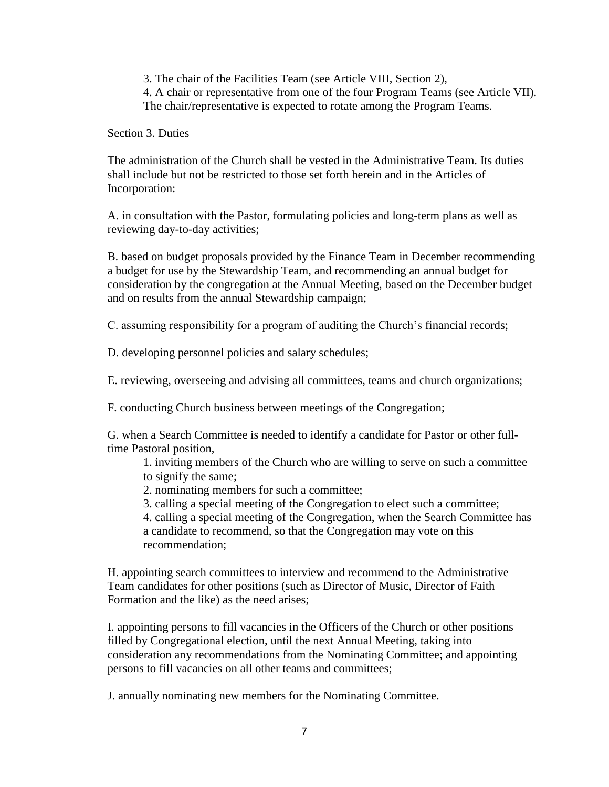3. The chair of the Facilities Team (see Article VIII, Section 2),

4. A chair or representative from one of the four Program Teams (see Article VII). The chair/representative is expected to rotate among the Program Teams.

## Section 3. Duties

The administration of the Church shall be vested in the Administrative Team. Its duties shall include but not be restricted to those set forth herein and in the Articles of Incorporation:

A. in consultation with the Pastor, formulating policies and long-term plans as well as reviewing day-to-day activities;

B. based on budget proposals provided by the Finance Team in December recommending a budget for use by the Stewardship Team, and recommending an annual budget for consideration by the congregation at the Annual Meeting, based on the December budget and on results from the annual Stewardship campaign;

C. assuming responsibility for a program of auditing the Church's financial records;

D. developing personnel policies and salary schedules;

E. reviewing, overseeing and advising all committees, teams and church organizations;

F. conducting Church business between meetings of the Congregation;

G. when a Search Committee is needed to identify a candidate for Pastor or other fulltime Pastoral position,

1. inviting members of the Church who are willing to serve on such a committee to signify the same;

- 2. nominating members for such a committee;
- 3. calling a special meeting of the Congregation to elect such a committee;

4. calling a special meeting of the Congregation, when the Search Committee has a candidate to recommend, so that the Congregation may vote on this recommendation;

H. appointing search committees to interview and recommend to the Administrative Team candidates for other positions (such as Director of Music, Director of Faith Formation and the like) as the need arises;

I. appointing persons to fill vacancies in the Officers of the Church or other positions filled by Congregational election, until the next Annual Meeting, taking into consideration any recommendations from the Nominating Committee; and appointing persons to fill vacancies on all other teams and committees;

J. annually nominating new members for the Nominating Committee.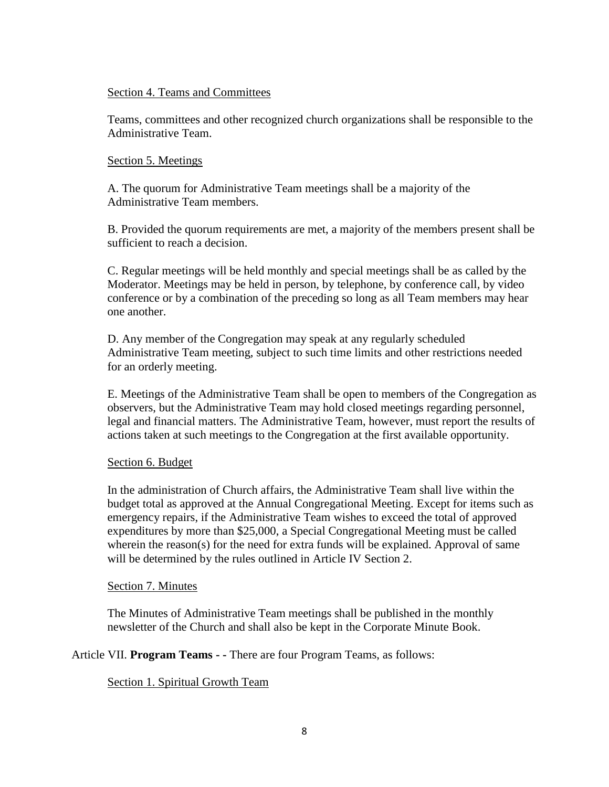## Section 4. Teams and Committees

Teams, committees and other recognized church organizations shall be responsible to the Administrative Team.

## Section 5. Meetings

A. The quorum for Administrative Team meetings shall be a majority of the Administrative Team members.

B. Provided the quorum requirements are met, a majority of the members present shall be sufficient to reach a decision.

C. Regular meetings will be held monthly and special meetings shall be as called by the Moderator. Meetings may be held in person, by telephone, by conference call, by video conference or by a combination of the preceding so long as all Team members may hear one another.

D. Any member of the Congregation may speak at any regularly scheduled Administrative Team meeting, subject to such time limits and other restrictions needed for an orderly meeting.

E. Meetings of the Administrative Team shall be open to members of the Congregation as observers, but the Administrative Team may hold closed meetings regarding personnel, legal and financial matters. The Administrative Team, however, must report the results of actions taken at such meetings to the Congregation at the first available opportunity.

# Section 6. Budget

In the administration of Church affairs, the Administrative Team shall live within the budget total as approved at the Annual Congregational Meeting. Except for items such as emergency repairs, if the Administrative Team wishes to exceed the total of approved expenditures by more than \$25,000, a Special Congregational Meeting must be called wherein the reason(s) for the need for extra funds will be explained. Approval of same will be determined by the rules outlined in Article IV Section 2.

## Section 7. Minutes

The Minutes of Administrative Team meetings shall be published in the monthly newsletter of the Church and shall also be kept in the Corporate Minute Book.

Article VII. **Program Teams - -** There are four Program Teams, as follows:

Section 1. Spiritual Growth Team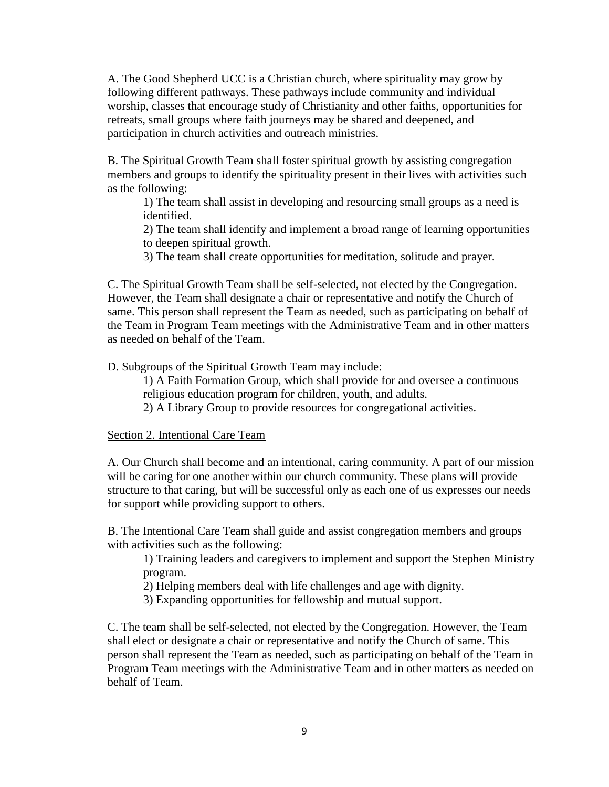A. The Good Shepherd UCC is a Christian church, where spirituality may grow by following different pathways. These pathways include community and individual worship, classes that encourage study of Christianity and other faiths, opportunities for retreats, small groups where faith journeys may be shared and deepened, and participation in church activities and outreach ministries.

B. The Spiritual Growth Team shall foster spiritual growth by assisting congregation members and groups to identify the spirituality present in their lives with activities such as the following:

1) The team shall assist in developing and resourcing small groups as a need is identified.

2) The team shall identify and implement a broad range of learning opportunities to deepen spiritual growth.

3) The team shall create opportunities for meditation, solitude and prayer.

C. The Spiritual Growth Team shall be self-selected, not elected by the Congregation. However, the Team shall designate a chair or representative and notify the Church of same. This person shall represent the Team as needed, such as participating on behalf of the Team in Program Team meetings with the Administrative Team and in other matters as needed on behalf of the Team.

D. Subgroups of the Spiritual Growth Team may include:

1) A Faith Formation Group, which shall provide for and oversee a continuous religious education program for children, youth, and adults.

2) A Library Group to provide resources for congregational activities.

## Section 2. Intentional Care Team

A. Our Church shall become and an intentional, caring community. A part of our mission will be caring for one another within our church community. These plans will provide structure to that caring, but will be successful only as each one of us expresses our needs for support while providing support to others.

B. The Intentional Care Team shall guide and assist congregation members and groups with activities such as the following:

1) Training leaders and caregivers to implement and support the Stephen Ministry program.

2) Helping members deal with life challenges and age with dignity.

3) Expanding opportunities for fellowship and mutual support.

C. The team shall be self-selected, not elected by the Congregation. However, the Team shall elect or designate a chair or representative and notify the Church of same. This person shall represent the Team as needed, such as participating on behalf of the Team in Program Team meetings with the Administrative Team and in other matters as needed on behalf of Team.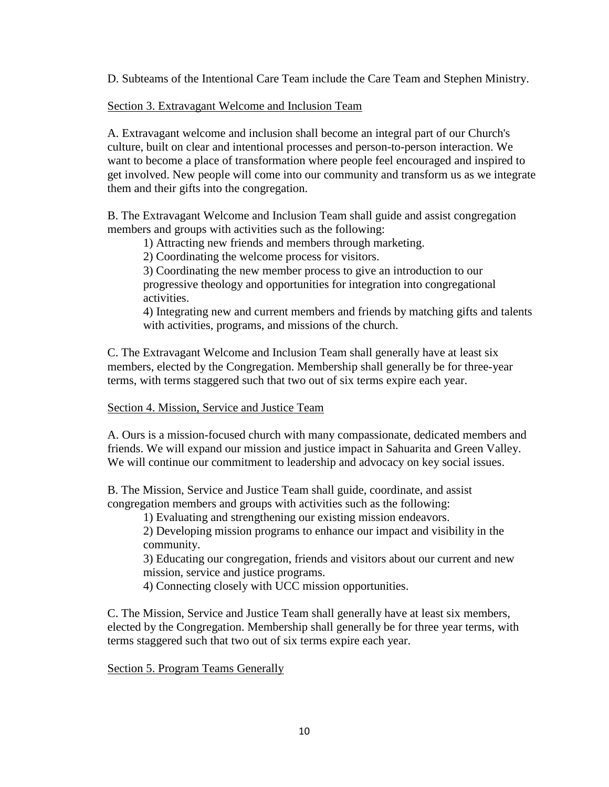D. Subteams of the Intentional Care Team include the Care Team and Stephen Ministry.

# Section 3. Extravagant Welcome and Inclusion Team

A. Extravagant welcome and inclusion shall become an integral part of our Church's culture, built on clear and intentional processes and person-to-person interaction. We want to become a place of transformation where people feel encouraged and inspired to get involved. New people will come into our community and transform us as we integrate them and their gifts into the congregation.

B. The Extravagant Welcome and Inclusion Team shall guide and assist congregation members and groups with activities such as the following:

1) Attracting new friends and members through marketing.

2) Coordinating the welcome process for visitors.

3) Coordinating the new member process to give an introduction to our progressive theology and opportunities for integration into congregational activities.

4) Integrating new and current members and friends by matching gifts and talents with activities, programs, and missions of the church.

C. The Extravagant Welcome and Inclusion Team shall generally have at least six members, elected by the Congregation. Membership shall generally be for three-year terms, with terms staggered such that two out of six terms expire each year.

# Section 4. Mission, Service and Justice Team

A. Ours is a mission-focused church with many compassionate, dedicated members and friends. We will expand our mission and justice impact in Sahuarita and Green Valley. We will continue our commitment to leadership and advocacy on key social issues.

B. The Mission, Service and Justice Team shall guide, coordinate, and assist congregation members and groups with activities such as the following:

1) Evaluating and strengthening our existing mission endeavors.

2) Developing mission programs to enhance our impact and visibility in the community.

3) Educating our congregation, friends and visitors about our current and new mission, service and justice programs.

4) Connecting closely with UCC mission opportunities.

C. The Mission, Service and Justice Team shall generally have at least six members, elected by the Congregation. Membership shall generally be for three year terms, with terms staggered such that two out of six terms expire each year.

Section 5. Program Teams Generally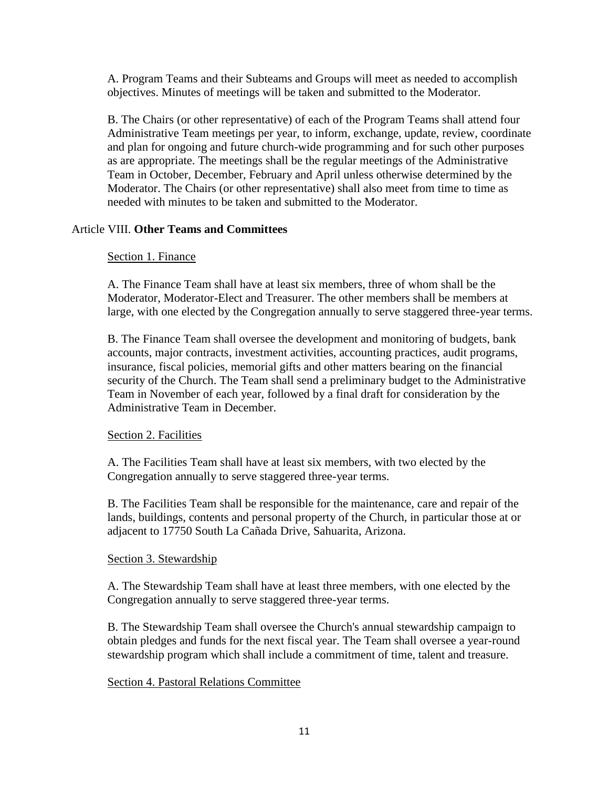A. Program Teams and their Subteams and Groups will meet as needed to accomplish objectives. Minutes of meetings will be taken and submitted to the Moderator.

B. The Chairs (or other representative) of each of the Program Teams shall attend four Administrative Team meetings per year, to inform, exchange, update, review, coordinate and plan for ongoing and future church-wide programming and for such other purposes as are appropriate. The meetings shall be the regular meetings of the Administrative Team in October, December, February and April unless otherwise determined by the Moderator. The Chairs (or other representative) shall also meet from time to time as needed with minutes to be taken and submitted to the Moderator.

# Article VIII. **Other Teams and Committees**

## Section 1. Finance

A. The Finance Team shall have at least six members, three of whom shall be the Moderator, Moderator-Elect and Treasurer. The other members shall be members at large, with one elected by the Congregation annually to serve staggered three-year terms.

B. The Finance Team shall oversee the development and monitoring of budgets, bank accounts, major contracts, investment activities, accounting practices, audit programs, insurance, fiscal policies, memorial gifts and other matters bearing on the financial security of the Church. The Team shall send a preliminary budget to the Administrative Team in November of each year, followed by a final draft for consideration by the Administrative Team in December.

# Section 2. Facilities

A. The Facilities Team shall have at least six members, with two elected by the Congregation annually to serve staggered three-year terms.

B. The Facilities Team shall be responsible for the maintenance, care and repair of the lands, buildings, contents and personal property of the Church, in particular those at or adjacent to 17750 South La Cañada Drive, Sahuarita, Arizona.

## Section 3. Stewardship

A. The Stewardship Team shall have at least three members, with one elected by the Congregation annually to serve staggered three-year terms.

B. The Stewardship Team shall oversee the Church's annual stewardship campaign to obtain pledges and funds for the next fiscal year. The Team shall oversee a year-round stewardship program which shall include a commitment of time, talent and treasure.

## Section 4. Pastoral Relations Committee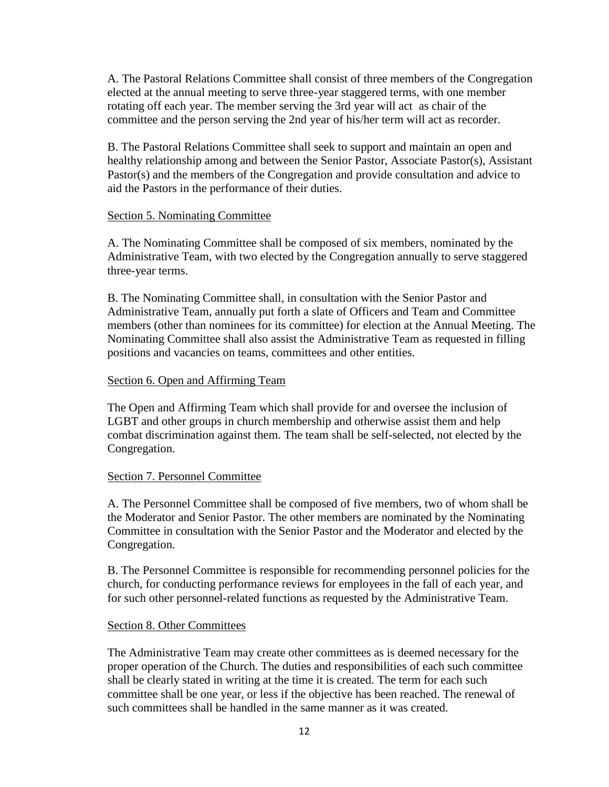A. The Pastoral Relations Committee shall consist of three members of the Congregation elected at the annual meeting to serve three-year staggered terms, with one member rotating off each year. The member serving the 3rd year will act as chair of the committee and the person serving the 2nd year of his/her term will act as recorder.

B. The Pastoral Relations Committee shall seek to support and maintain an open and healthy relationship among and between the Senior Pastor, Associate Pastor(s), Assistant Pastor(s) and the members of the Congregation and provide consultation and advice to aid the Pastors in the performance of their duties.

## Section 5. Nominating Committee

A. The Nominating Committee shall be composed of six members, nominated by the Administrative Team, with two elected by the Congregation annually to serve staggered three-year terms.

B. The Nominating Committee shall, in consultation with the Senior Pastor and Administrative Team, annually put forth a slate of Officers and Team and Committee members (other than nominees for its committee) for election at the Annual Meeting. The Nominating Committee shall also assist the Administrative Team as requested in filling positions and vacancies on teams, committees and other entities.

#### Section 6. Open and Affirming Team

The Open and Affirming Team which shall provide for and oversee the inclusion of LGBT and other groups in church membership and otherwise assist them and help combat discrimination against them. The team shall be self-selected, not elected by the Congregation.

## Section 7. Personnel Committee

A. The Personnel Committee shall be composed of five members, two of whom shall be the Moderator and Senior Pastor. The other members are nominated by the Nominating Committee in consultation with the Senior Pastor and the Moderator and elected by the Congregation.

B. The Personnel Committee is responsible for recommending personnel policies for the church, for conducting performance reviews for employees in the fall of each year, and for such other personnel-related functions as requested by the Administrative Team.

#### Section 8. Other Committees

The Administrative Team may create other committees as is deemed necessary for the proper operation of the Church. The duties and responsibilities of each such committee shall be clearly stated in writing at the time it is created. The term for each such committee shall be one year, or less if the objective has been reached. The renewal of such committees shall be handled in the same manner as it was created.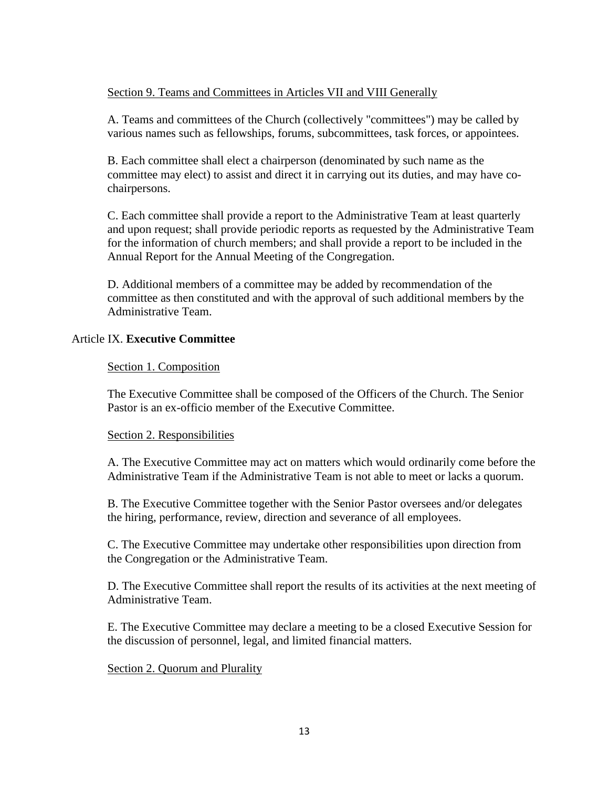# Section 9. Teams and Committees in Articles VII and VIII Generally

A. Teams and committees of the Church (collectively "committees") may be called by various names such as fellowships, forums, subcommittees, task forces, or appointees.

B. Each committee shall elect a chairperson (denominated by such name as the committee may elect) to assist and direct it in carrying out its duties, and may have cochairpersons.

C. Each committee shall provide a report to the Administrative Team at least quarterly and upon request; shall provide periodic reports as requested by the Administrative Team for the information of church members; and shall provide a report to be included in the Annual Report for the Annual Meeting of the Congregation.

D. Additional members of a committee may be added by recommendation of the committee as then constituted and with the approval of such additional members by the Administrative Team.

# Article IX. **Executive Committee**

# Section 1. Composition

The Executive Committee shall be composed of the Officers of the Church. The Senior Pastor is an ex-officio member of the Executive Committee.

# Section 2. Responsibilities

A. The Executive Committee may act on matters which would ordinarily come before the Administrative Team if the Administrative Team is not able to meet or lacks a quorum.

B. The Executive Committee together with the Senior Pastor oversees and/or delegates the hiring, performance, review, direction and severance of all employees.

C. The Executive Committee may undertake other responsibilities upon direction from the Congregation or the Administrative Team.

D. The Executive Committee shall report the results of its activities at the next meeting of Administrative Team.

E. The Executive Committee may declare a meeting to be a closed Executive Session for the discussion of personnel, legal, and limited financial matters.

# Section 2. Quorum and Plurality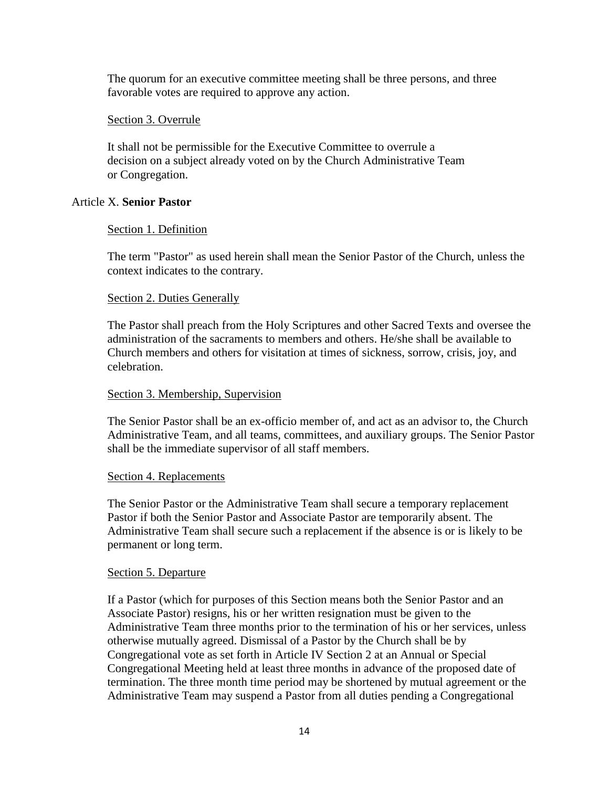The quorum for an executive committee meeting shall be three persons, and three favorable votes are required to approve any action.

## Section 3. Overrule

It shall not be permissible for the Executive Committee to overrule a decision on a subject already voted on by the Church Administrative Team or Congregation.

## Article X. **Senior Pastor**

#### Section 1. Definition

The term "Pastor" as used herein shall mean the Senior Pastor of the Church, unless the context indicates to the contrary.

#### Section 2. Duties Generally

The Pastor shall preach from the Holy Scriptures and other Sacred Texts and oversee the administration of the sacraments to members and others. He/she shall be available to Church members and others for visitation at times of sickness, sorrow, crisis, joy, and celebration.

#### Section 3. Membership, Supervision

The Senior Pastor shall be an ex-officio member of, and act as an advisor to, the Church Administrative Team, and all teams, committees, and auxiliary groups. The Senior Pastor shall be the immediate supervisor of all staff members.

#### Section 4. Replacements

The Senior Pastor or the Administrative Team shall secure a temporary replacement Pastor if both the Senior Pastor and Associate Pastor are temporarily absent. The Administrative Team shall secure such a replacement if the absence is or is likely to be permanent or long term.

#### Section 5. Departure

If a Pastor (which for purposes of this Section means both the Senior Pastor and an Associate Pastor) resigns, his or her written resignation must be given to the Administrative Team three months prior to the termination of his or her services, unless otherwise mutually agreed. Dismissal of a Pastor by the Church shall be by Congregational vote as set forth in Article IV Section 2 at an Annual or Special Congregational Meeting held at least three months in advance of the proposed date of termination. The three month time period may be shortened by mutual agreement or the Administrative Team may suspend a Pastor from all duties pending a Congregational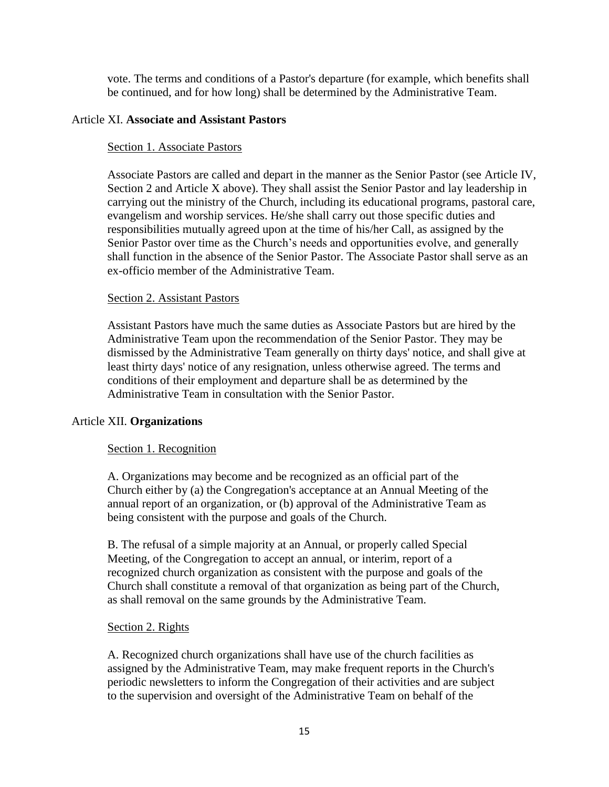vote. The terms and conditions of a Pastor's departure (for example, which benefits shall be continued, and for how long) shall be determined by the Administrative Team.

## Article XI. **Associate and Assistant Pastors**

#### Section 1. Associate Pastors

Associate Pastors are called and depart in the manner as the Senior Pastor (see Article IV, Section 2 and Article X above). They shall assist the Senior Pastor and lay leadership in carrying out the ministry of the Church, including its educational programs, pastoral care, evangelism and worship services. He/she shall carry out those specific duties and responsibilities mutually agreed upon at the time of his/her Call, as assigned by the Senior Pastor over time as the Church's needs and opportunities evolve, and generally shall function in the absence of the Senior Pastor. The Associate Pastor shall serve as an ex-officio member of the Administrative Team.

#### Section 2. Assistant Pastors

Assistant Pastors have much the same duties as Associate Pastors but are hired by the Administrative Team upon the recommendation of the Senior Pastor. They may be dismissed by the Administrative Team generally on thirty days' notice, and shall give at least thirty days' notice of any resignation, unless otherwise agreed. The terms and conditions of their employment and departure shall be as determined by the Administrative Team in consultation with the Senior Pastor.

#### Article XII. **Organizations**

#### Section 1. Recognition

A. Organizations may become and be recognized as an official part of the Church either by (a) the Congregation's acceptance at an Annual Meeting of the annual report of an organization, or (b) approval of the Administrative Team as being consistent with the purpose and goals of the Church.

B. The refusal of a simple majority at an Annual, or properly called Special Meeting, of the Congregation to accept an annual, or interim, report of a recognized church organization as consistent with the purpose and goals of the Church shall constitute a removal of that organization as being part of the Church, as shall removal on the same grounds by the Administrative Team.

#### Section 2. Rights

A. Recognized church organizations shall have use of the church facilities as assigned by the Administrative Team, may make frequent reports in the Church's periodic newsletters to inform the Congregation of their activities and are subject to the supervision and oversight of the Administrative Team on behalf of the